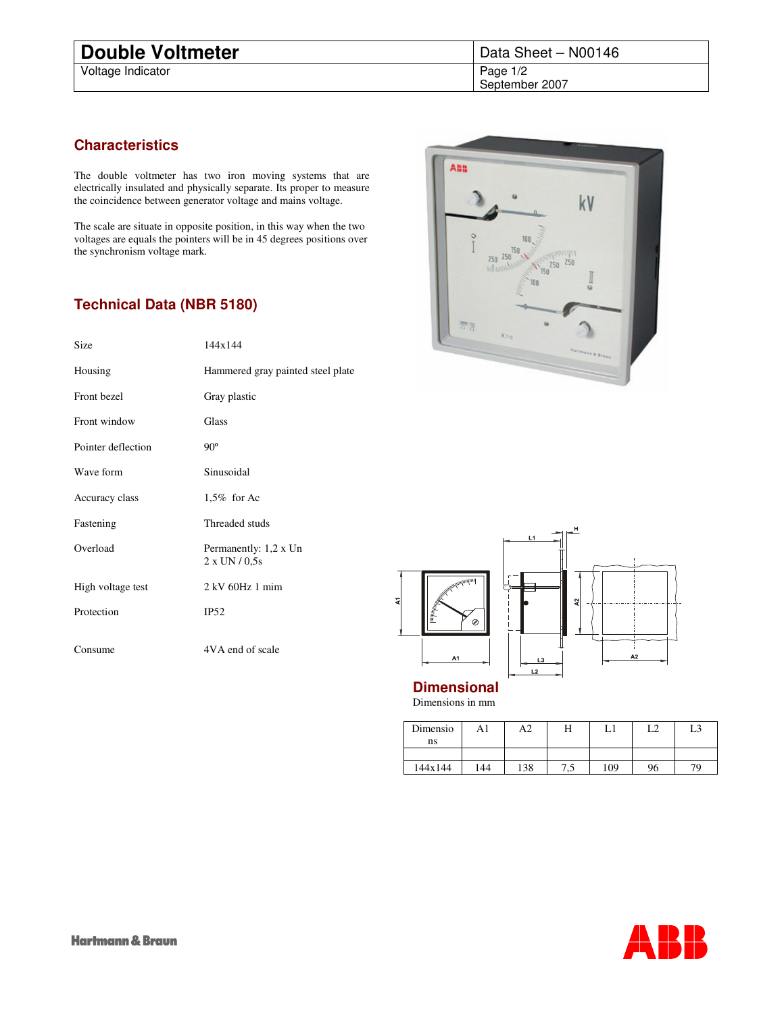Voltage Indicator

## **Characteristics**

The double voltmeter has two iron moving systems that are electrically insulated and physically separate. Its proper to measure the coincidence between generator voltage and mains voltage.

The scale are situate in opposite position, in this way when the two voltages are equals the pointers will be in 45 degrees positions over the synchronism voltage mark.

## **Technical Data (NBR 5180)**

| Size               | 144x144                                       |
|--------------------|-----------------------------------------------|
| Housing            | Hammered gray painted steel plate             |
| Front bezel        | Gray plastic                                  |
| Front window       | Glass                                         |
| Pointer deflection | $90^\circ$                                    |
| Wave form          | Sinusoidal                                    |
| Accuracy class     | 1,5% for Ac                                   |
| Fastening          | Threaded studs                                |
| Overload           | Permanently: 1,2 x Un<br>$2 \times UN / 0.5s$ |
| High voltage test  | $2$ kV 60Hz 1 mim                             |
| Protection         | IP52                                          |
| Consume            | 4VA end of scale                              |





**Dimensional** Dimensions in mm

| Dimensio | A1  | A2  | п   |     | L2 | L3 |
|----------|-----|-----|-----|-----|----|----|
| ns       |     |     |     |     |    |    |
|          |     |     |     |     |    |    |
| 144x144  | 144 | 138 | ر., | 109 | 96 |    |